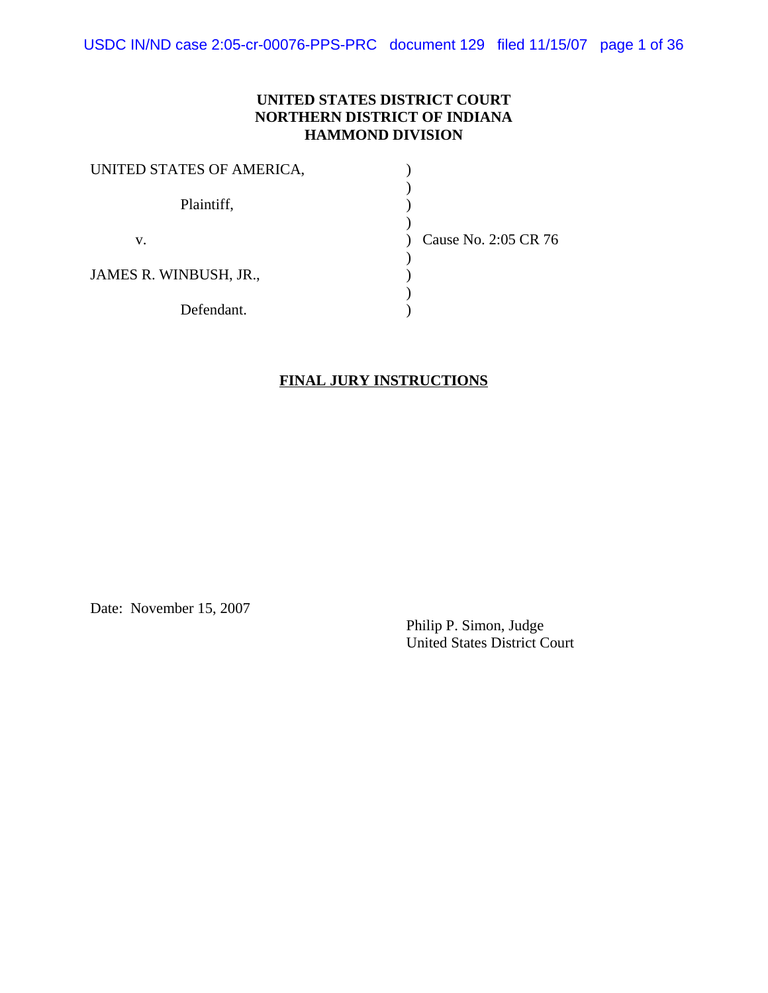USDC IN/ND case 2:05-cr-00076-PPS-PRC document 129 filed 11/15/07 page 1 of 36

### **UNITED STATES DISTRICT COURT NORTHERN DISTRICT OF INDIANA HAMMOND DIVISION**

| UNITED STATES OF AMERICA, |                      |
|---------------------------|----------------------|
| Plaintiff,                |                      |
| v.                        | Cause No. 2:05 CR 76 |
| JAMES R. WINBUSH, JR.,    |                      |
| Defendant.                |                      |

#### **FINAL JURY INSTRUCTIONS**

Date: November 15, 2007

Philip P. Simon, Judge United States District Court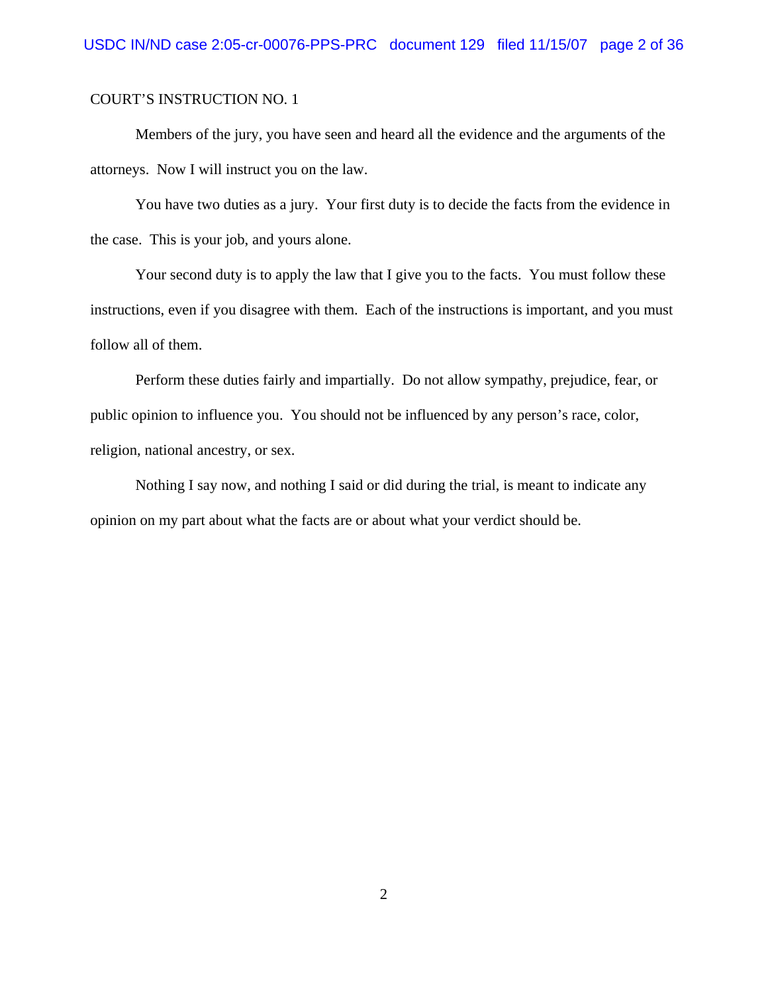Members of the jury, you have seen and heard all the evidence and the arguments of the attorneys. Now I will instruct you on the law.

You have two duties as a jury. Your first duty is to decide the facts from the evidence in the case. This is your job, and yours alone.

Your second duty is to apply the law that I give you to the facts. You must follow these instructions, even if you disagree with them. Each of the instructions is important, and you must follow all of them.

Perform these duties fairly and impartially. Do not allow sympathy, prejudice, fear, or public opinion to influence you. You should not be influenced by any person's race, color, religion, national ancestry, or sex.

Nothing I say now, and nothing I said or did during the trial, is meant to indicate any opinion on my part about what the facts are or about what your verdict should be.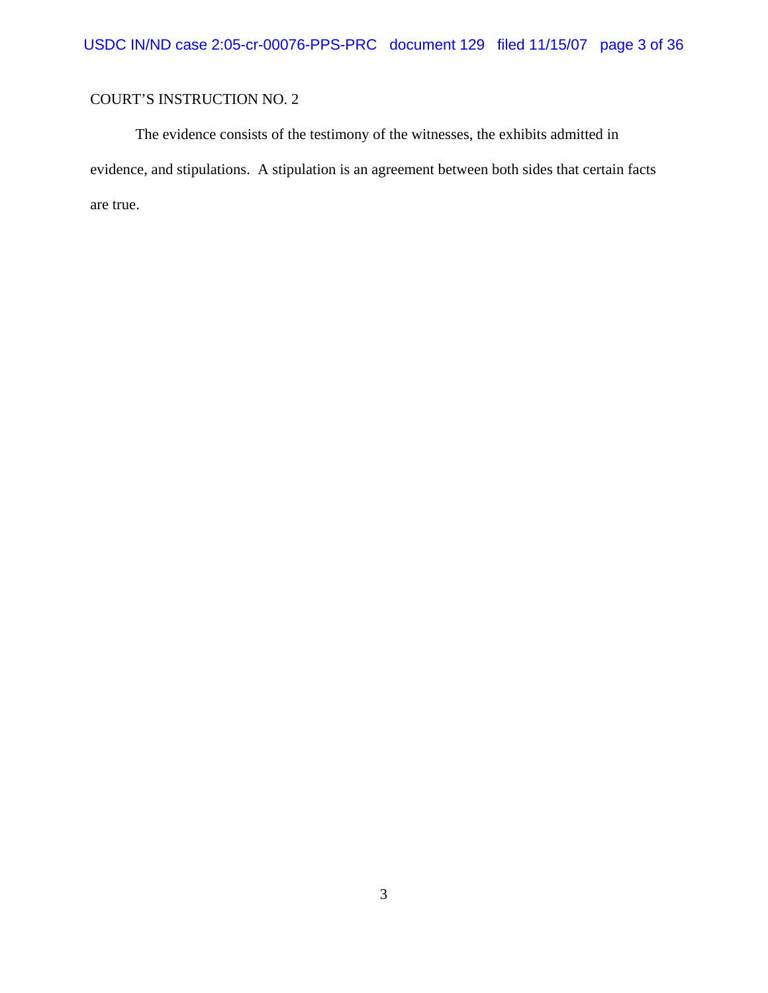The evidence consists of the testimony of the witnesses, the exhibits admitted in evidence, and stipulations. A stipulation is an agreement between both sides that certain facts are true.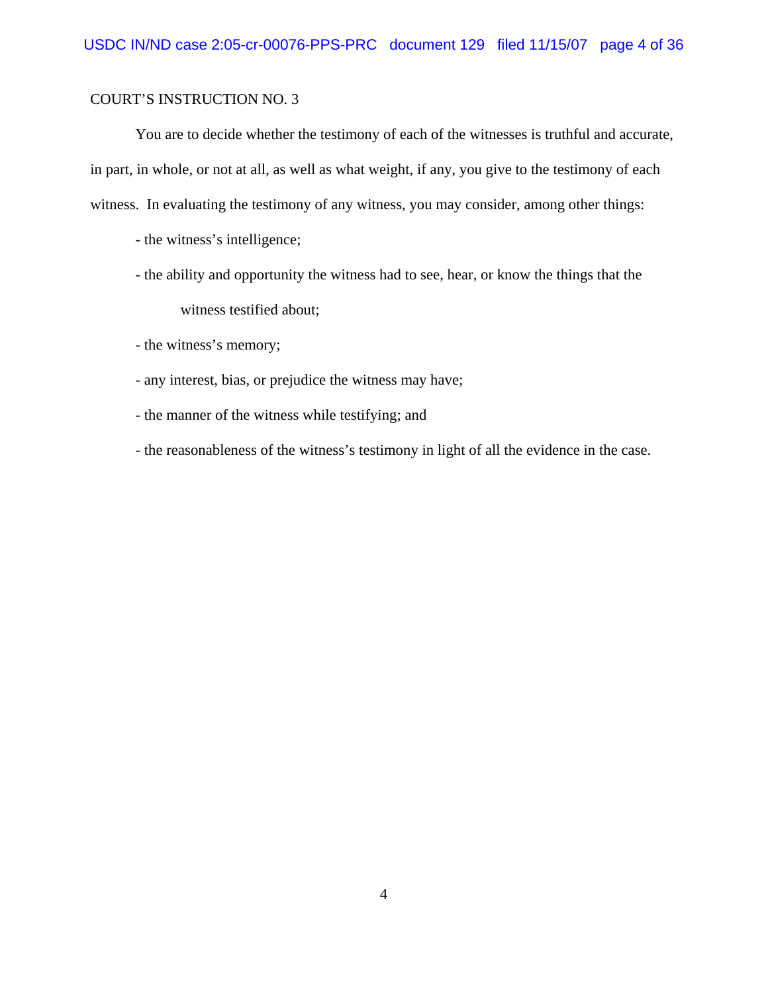You are to decide whether the testimony of each of the witnesses is truthful and accurate, in part, in whole, or not at all, as well as what weight, if any, you give to the testimony of each witness. In evaluating the testimony of any witness, you may consider, among other things:

- the witness's intelligence;
- the ability and opportunity the witness had to see, hear, or know the things that the witness testified about;
- the witness's memory;
- any interest, bias, or prejudice the witness may have;
- the manner of the witness while testifying; and
- the reasonableness of the witness's testimony in light of all the evidence in the case.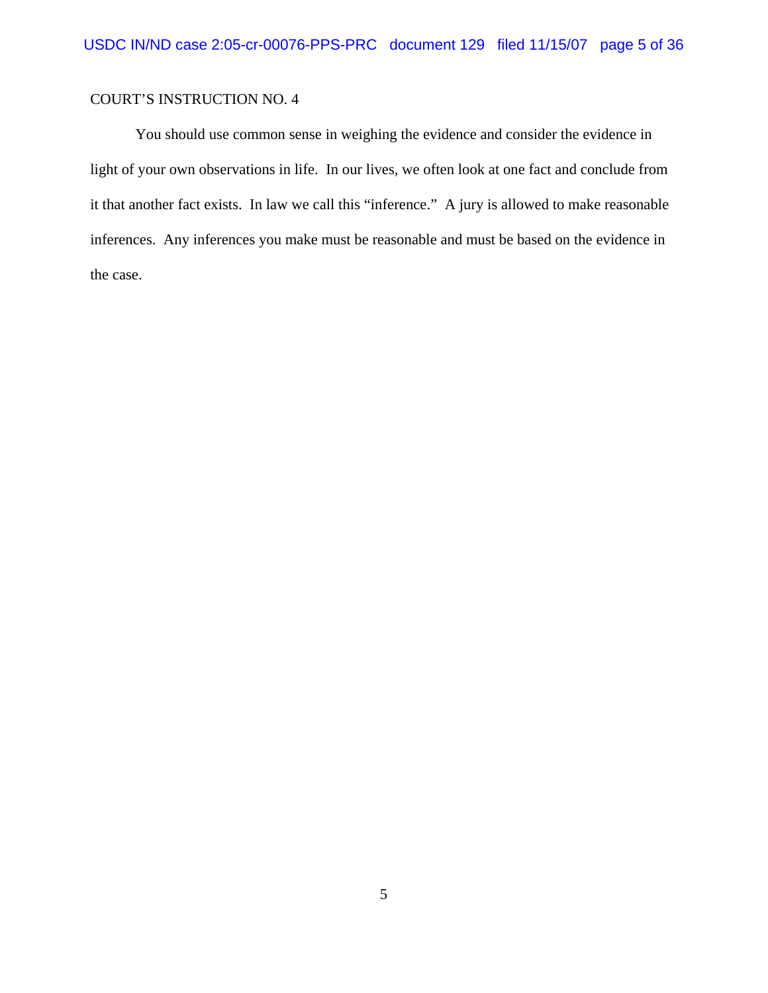You should use common sense in weighing the evidence and consider the evidence in light of your own observations in life. In our lives, we often look at one fact and conclude from it that another fact exists. In law we call this "inference." A jury is allowed to make reasonable inferences. Any inferences you make must be reasonable and must be based on the evidence in the case.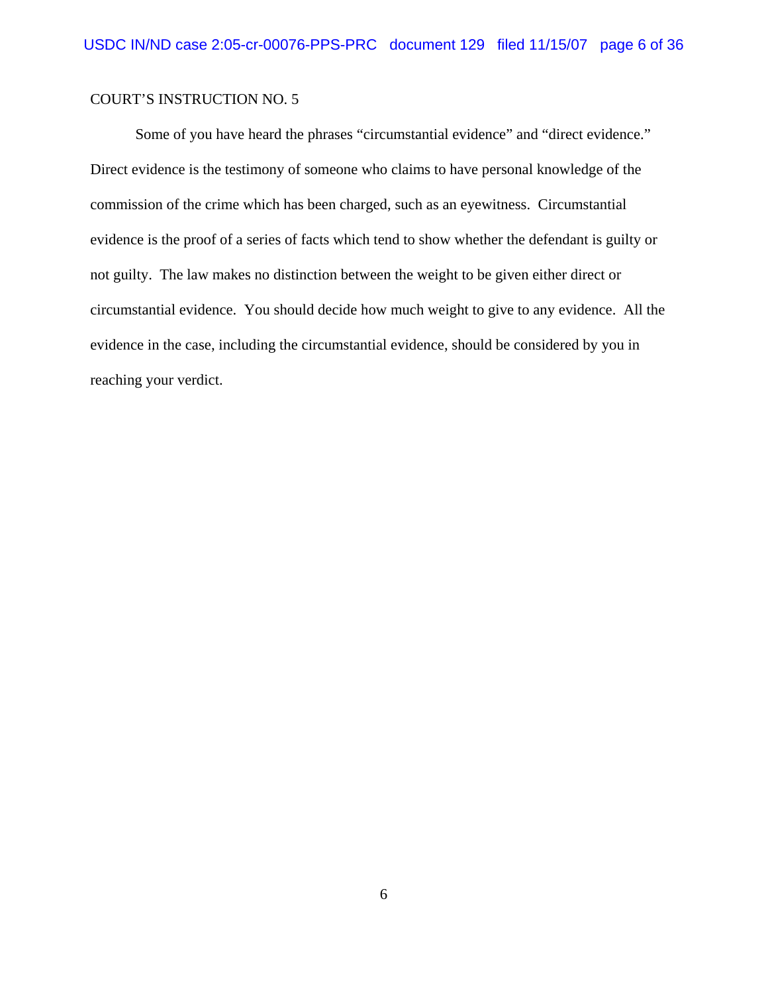Some of you have heard the phrases "circumstantial evidence" and "direct evidence." Direct evidence is the testimony of someone who claims to have personal knowledge of the commission of the crime which has been charged, such as an eyewitness. Circumstantial evidence is the proof of a series of facts which tend to show whether the defendant is guilty or not guilty. The law makes no distinction between the weight to be given either direct or circumstantial evidence. You should decide how much weight to give to any evidence. All the evidence in the case, including the circumstantial evidence, should be considered by you in reaching your verdict.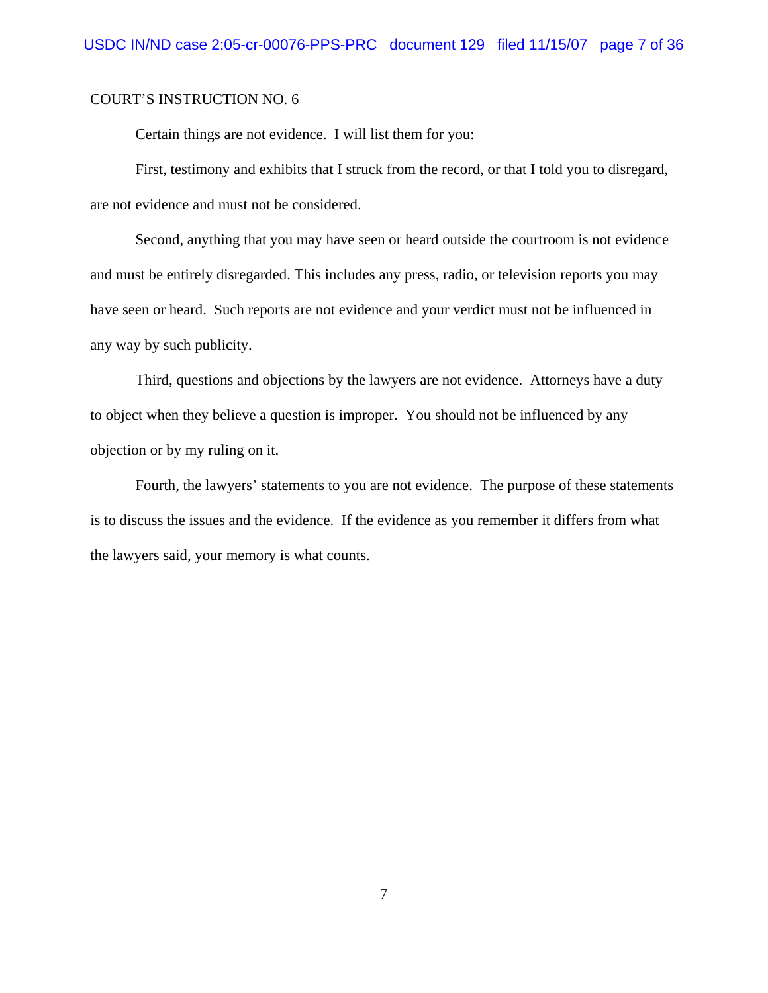Certain things are not evidence. I will list them for you:

First, testimony and exhibits that I struck from the record, or that I told you to disregard, are not evidence and must not be considered.

Second, anything that you may have seen or heard outside the courtroom is not evidence and must be entirely disregarded. This includes any press, radio, or television reports you may have seen or heard. Such reports are not evidence and your verdict must not be influenced in any way by such publicity.

Third, questions and objections by the lawyers are not evidence. Attorneys have a duty to object when they believe a question is improper. You should not be influenced by any objection or by my ruling on it.

Fourth, the lawyers' statements to you are not evidence. The purpose of these statements is to discuss the issues and the evidence. If the evidence as you remember it differs from what the lawyers said, your memory is what counts.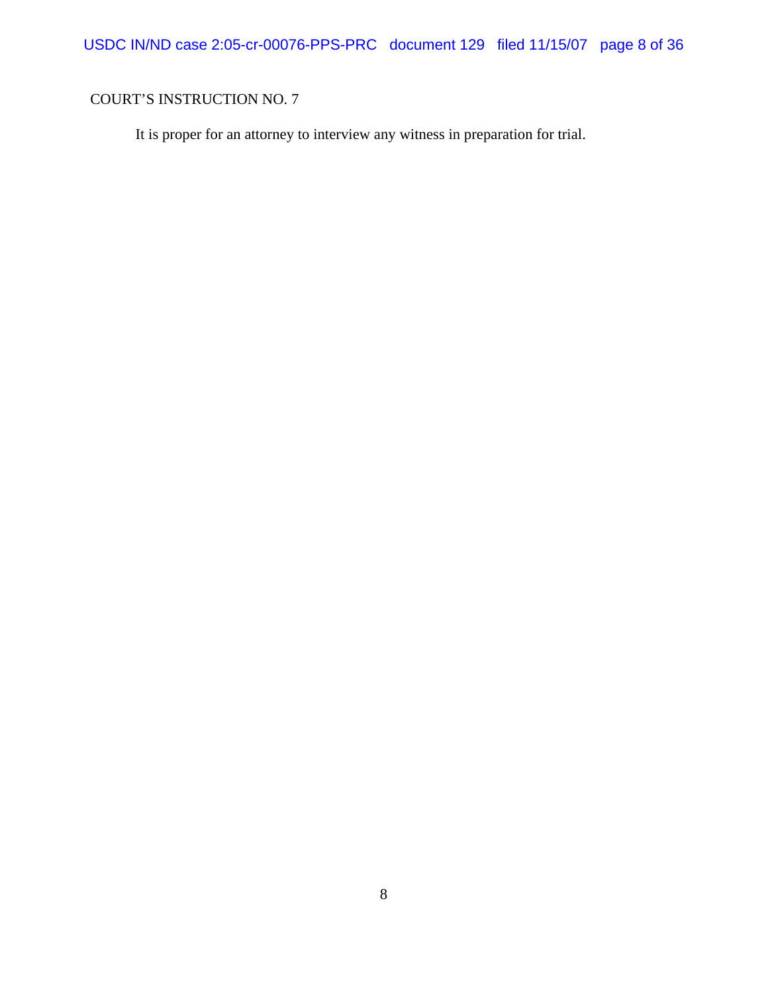USDC IN/ND case 2:05-cr-00076-PPS-PRC document 129 filed 11/15/07 page 8 of 36

# COURT'S INSTRUCTION NO. 7

It is proper for an attorney to interview any witness in preparation for trial.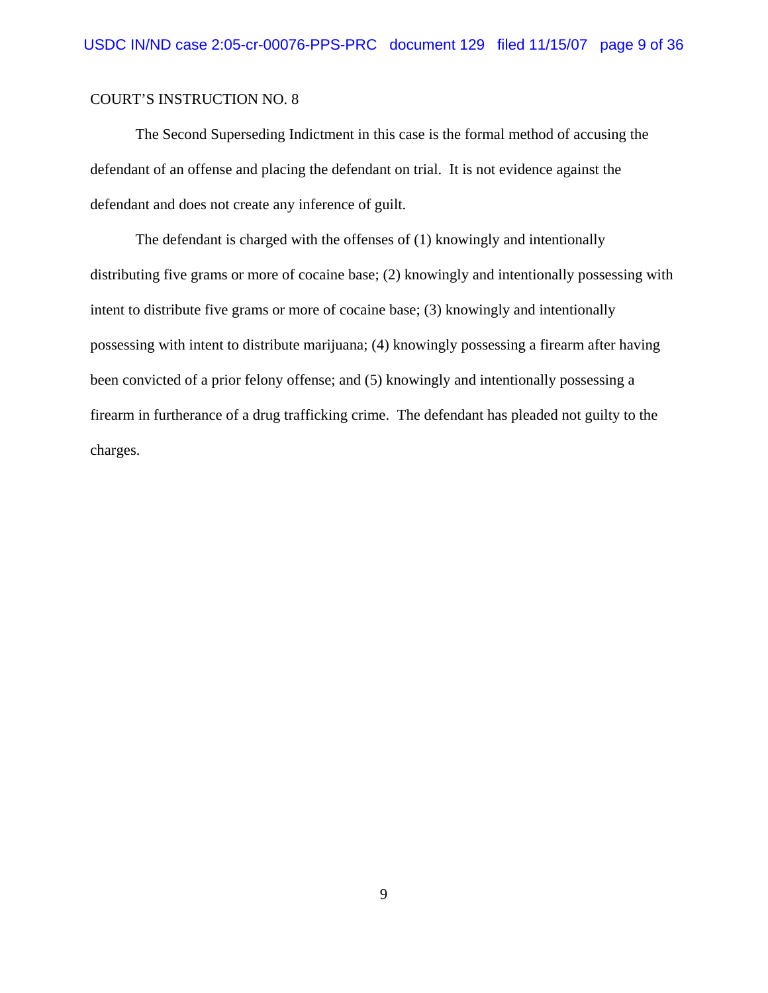The Second Superseding Indictment in this case is the formal method of accusing the defendant of an offense and placing the defendant on trial. It is not evidence against the defendant and does not create any inference of guilt.

The defendant is charged with the offenses of (1) knowingly and intentionally distributing five grams or more of cocaine base; (2) knowingly and intentionally possessing with intent to distribute five grams or more of cocaine base; (3) knowingly and intentionally possessing with intent to distribute marijuana; (4) knowingly possessing a firearm after having been convicted of a prior felony offense; and (5) knowingly and intentionally possessing a firearm in furtherance of a drug trafficking crime. The defendant has pleaded not guilty to the charges.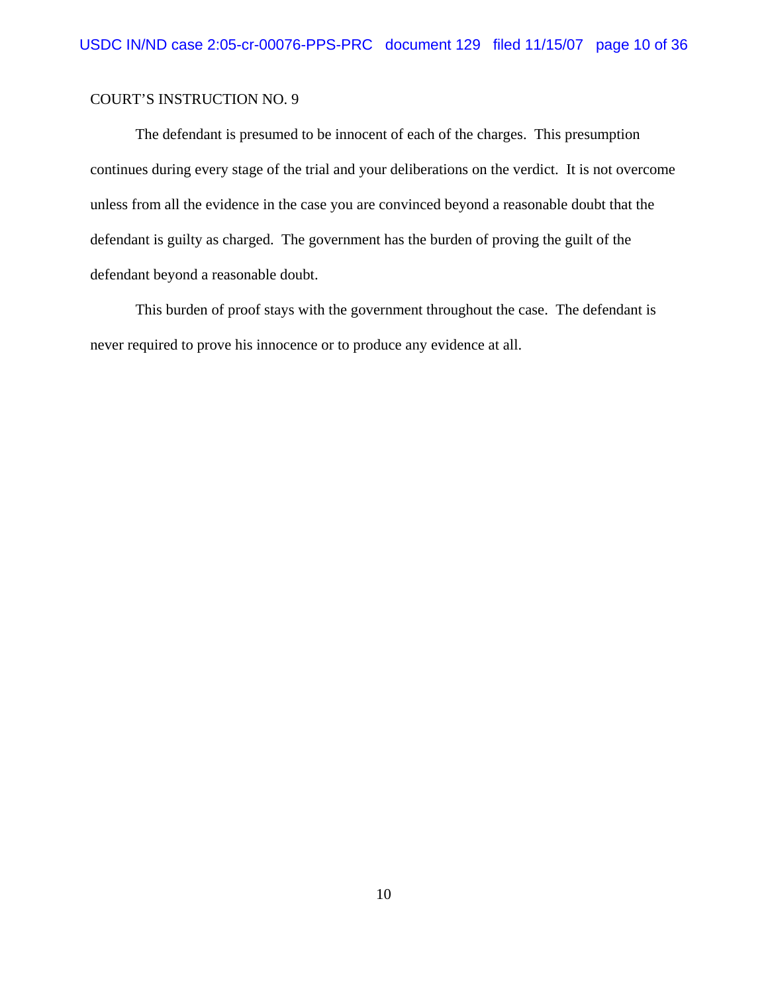The defendant is presumed to be innocent of each of the charges. This presumption continues during every stage of the trial and your deliberations on the verdict. It is not overcome unless from all the evidence in the case you are convinced beyond a reasonable doubt that the defendant is guilty as charged. The government has the burden of proving the guilt of the defendant beyond a reasonable doubt.

This burden of proof stays with the government throughout the case. The defendant is never required to prove his innocence or to produce any evidence at all.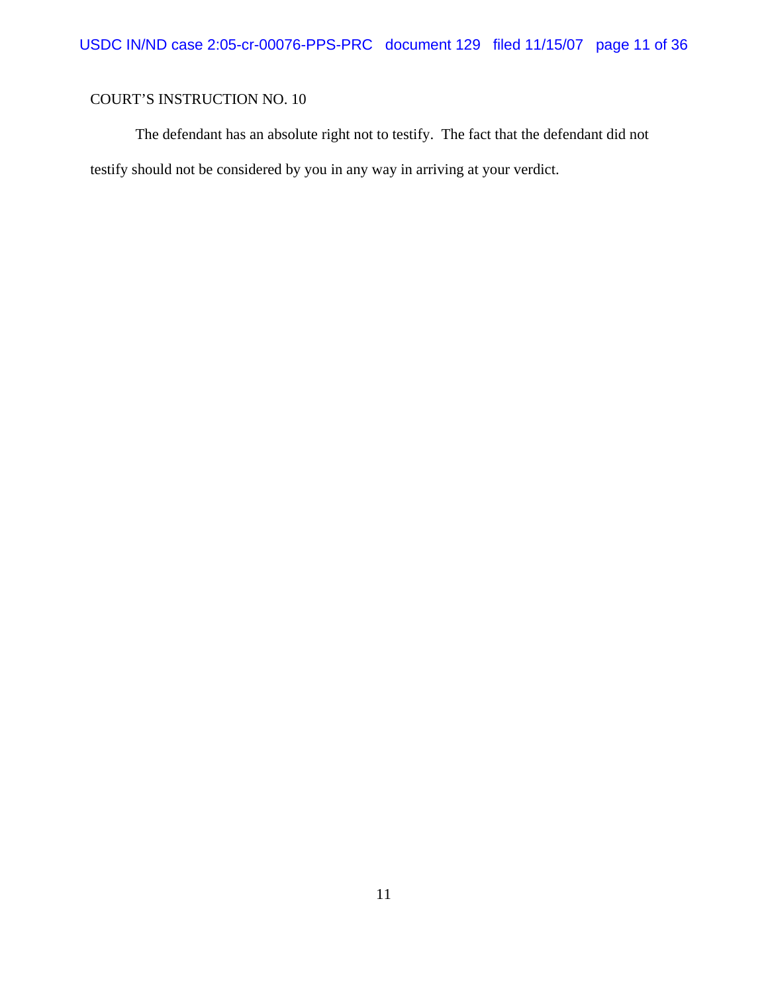The defendant has an absolute right not to testify. The fact that the defendant did not testify should not be considered by you in any way in arriving at your verdict.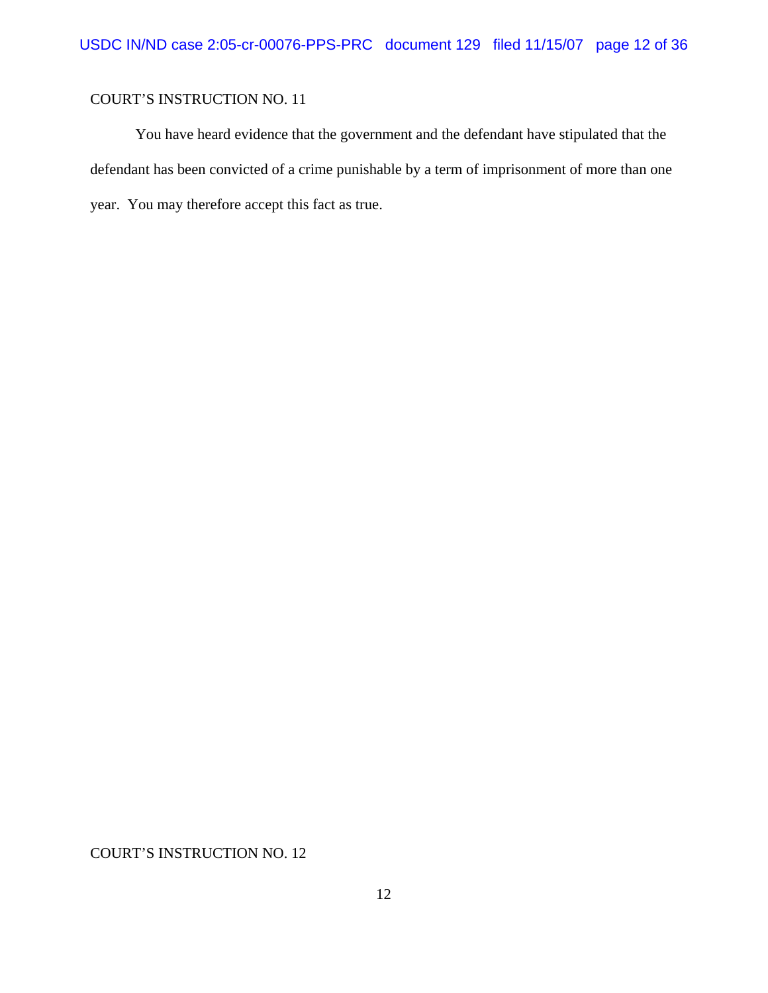You have heard evidence that the government and the defendant have stipulated that the defendant has been convicted of a crime punishable by a term of imprisonment of more than one year. You may therefore accept this fact as true.

COURT'S INSTRUCTION NO. 12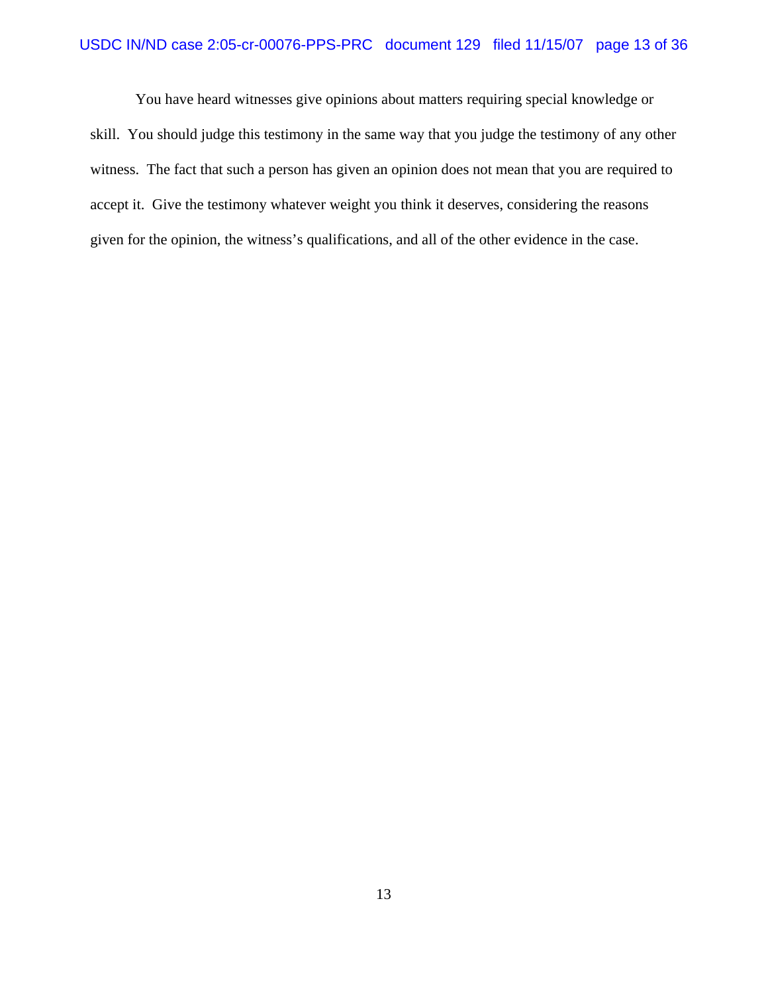#### USDC IN/ND case 2:05-cr-00076-PPS-PRC document 129 filed 11/15/07 page 13 of 36

You have heard witnesses give opinions about matters requiring special knowledge or skill. You should judge this testimony in the same way that you judge the testimony of any other witness. The fact that such a person has given an opinion does not mean that you are required to accept it. Give the testimony whatever weight you think it deserves, considering the reasons given for the opinion, the witness's qualifications, and all of the other evidence in the case.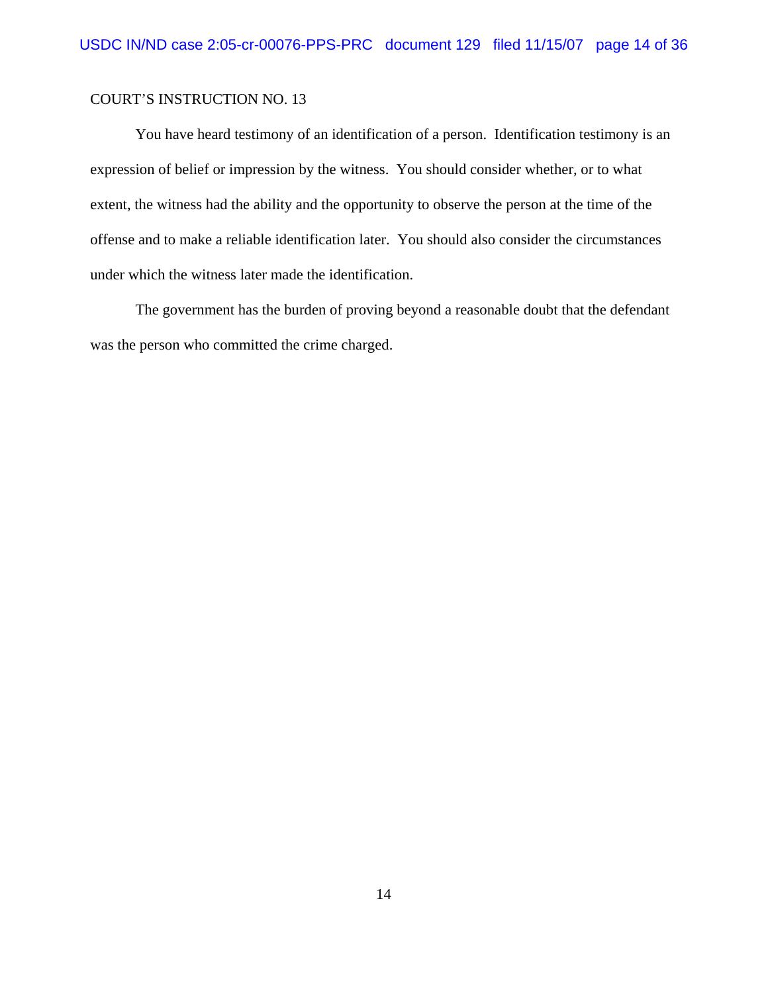You have heard testimony of an identification of a person. Identification testimony is an expression of belief or impression by the witness. You should consider whether, or to what extent, the witness had the ability and the opportunity to observe the person at the time of the offense and to make a reliable identification later. You should also consider the circumstances under which the witness later made the identification.

The government has the burden of proving beyond a reasonable doubt that the defendant was the person who committed the crime charged.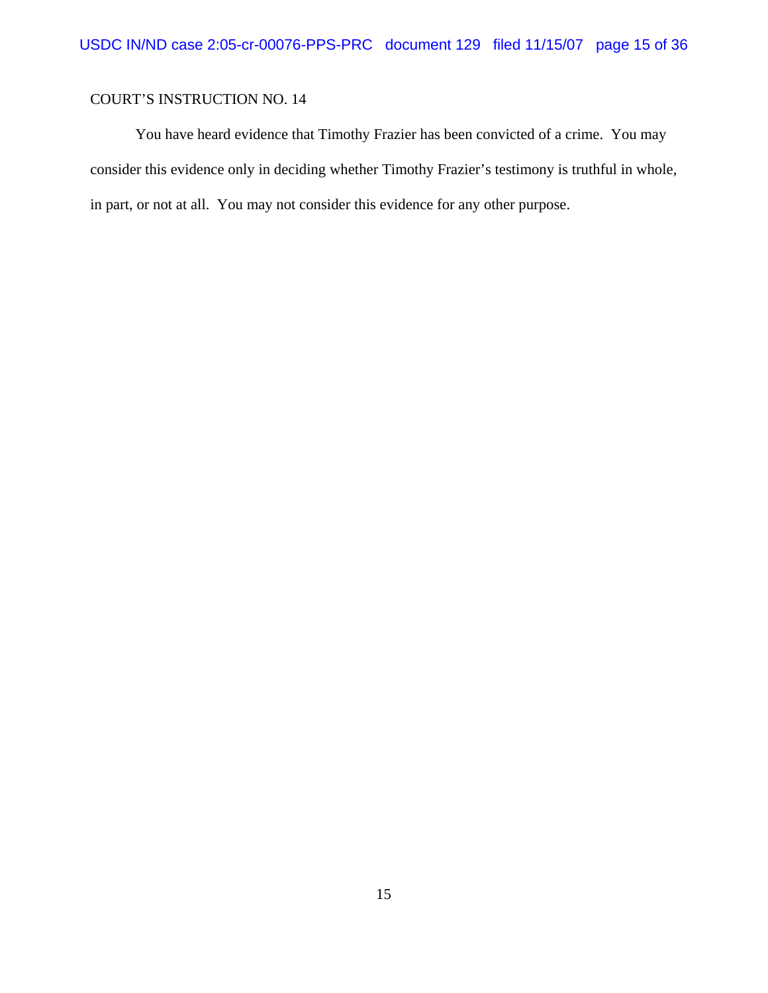You have heard evidence that Timothy Frazier has been convicted of a crime. You may consider this evidence only in deciding whether Timothy Frazier's testimony is truthful in whole, in part, or not at all. You may not consider this evidence for any other purpose.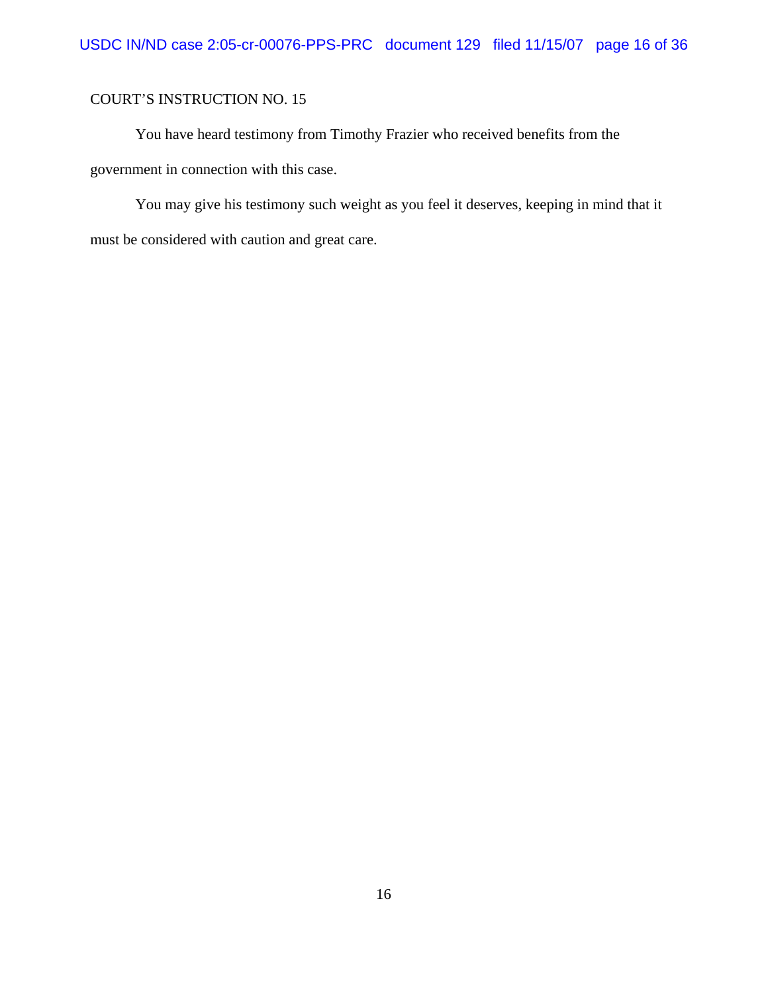You have heard testimony from Timothy Frazier who received benefits from the government in connection with this case.

You may give his testimony such weight as you feel it deserves, keeping in mind that it must be considered with caution and great care.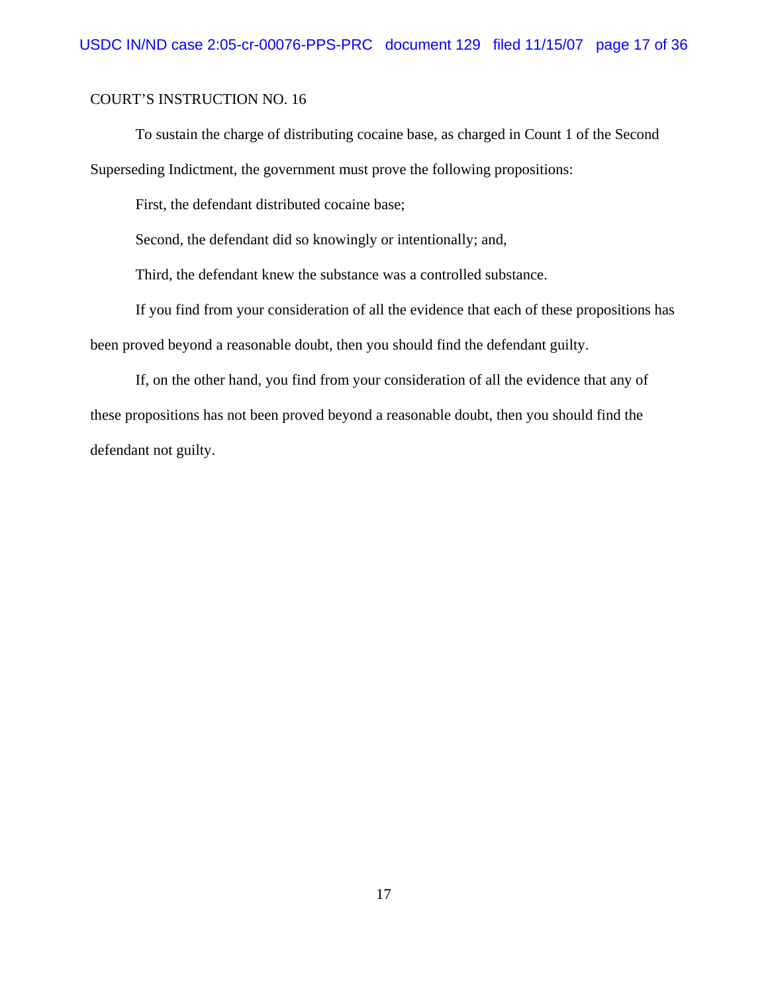To sustain the charge of distributing cocaine base, as charged in Count 1 of the Second Superseding Indictment, the government must prove the following propositions:

First, the defendant distributed cocaine base;

Second, the defendant did so knowingly or intentionally; and,

Third, the defendant knew the substance was a controlled substance.

If you find from your consideration of all the evidence that each of these propositions has been proved beyond a reasonable doubt, then you should find the defendant guilty.

If, on the other hand, you find from your consideration of all the evidence that any of these propositions has not been proved beyond a reasonable doubt, then you should find the defendant not guilty.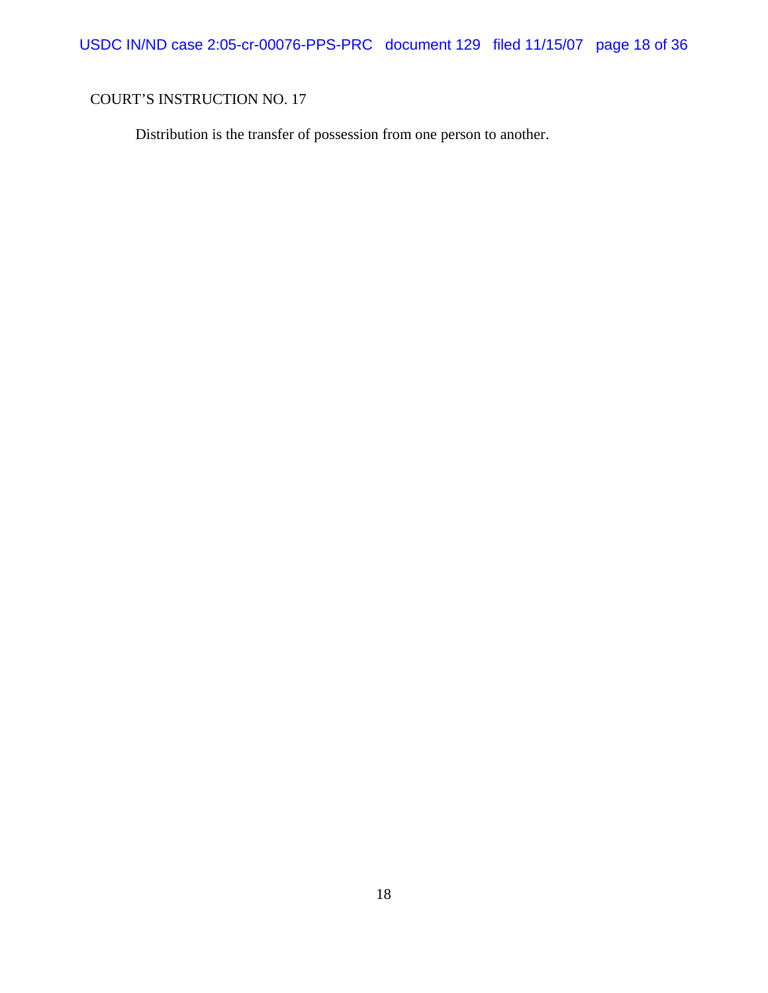Distribution is the transfer of possession from one person to another.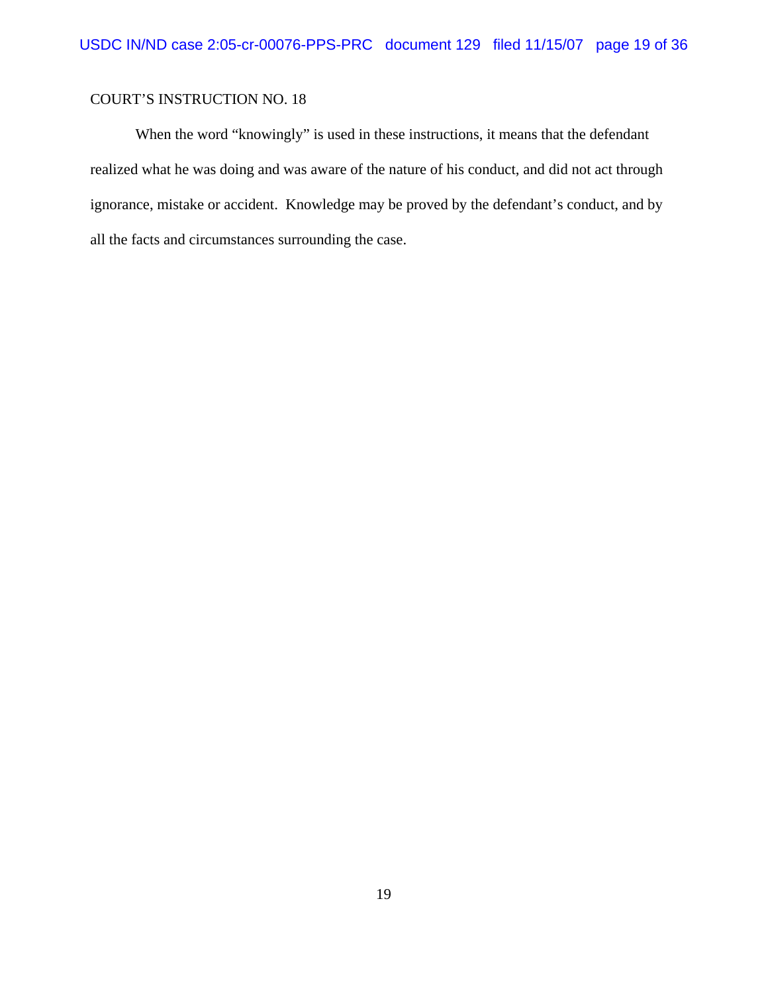When the word "knowingly" is used in these instructions, it means that the defendant realized what he was doing and was aware of the nature of his conduct, and did not act through ignorance, mistake or accident. Knowledge may be proved by the defendant's conduct, and by all the facts and circumstances surrounding the case.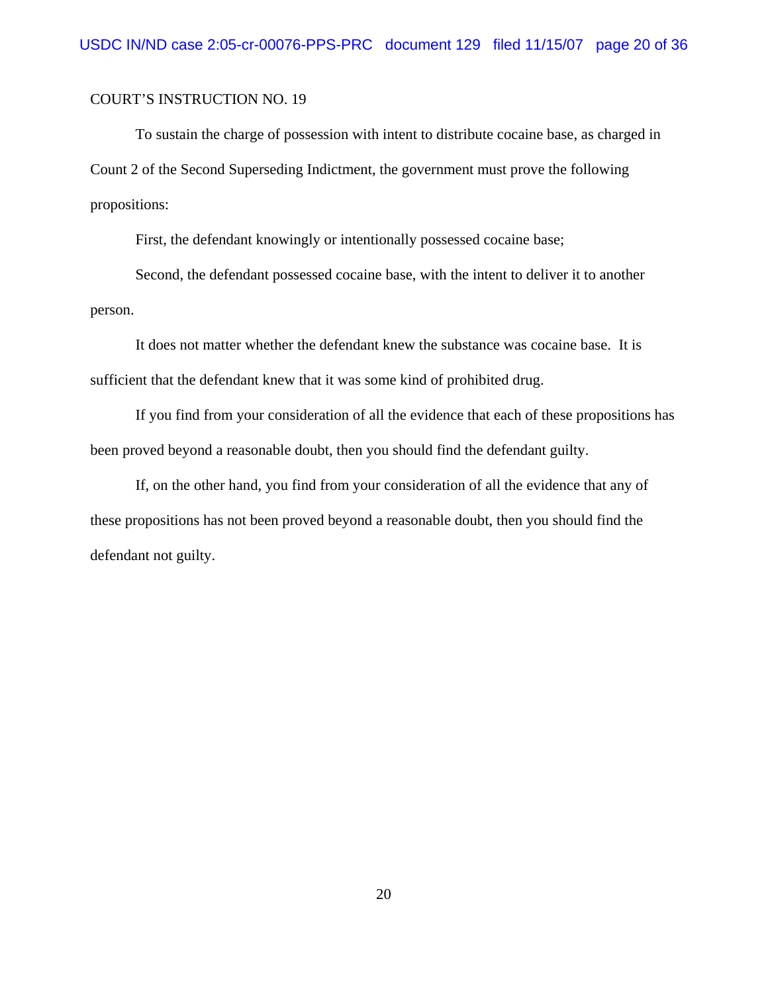To sustain the charge of possession with intent to distribute cocaine base, as charged in Count 2 of the Second Superseding Indictment, the government must prove the following propositions:

First, the defendant knowingly or intentionally possessed cocaine base;

Second, the defendant possessed cocaine base, with the intent to deliver it to another person.

It does not matter whether the defendant knew the substance was cocaine base. It is sufficient that the defendant knew that it was some kind of prohibited drug.

If you find from your consideration of all the evidence that each of these propositions has been proved beyond a reasonable doubt, then you should find the defendant guilty.

If, on the other hand, you find from your consideration of all the evidence that any of these propositions has not been proved beyond a reasonable doubt, then you should find the defendant not guilty.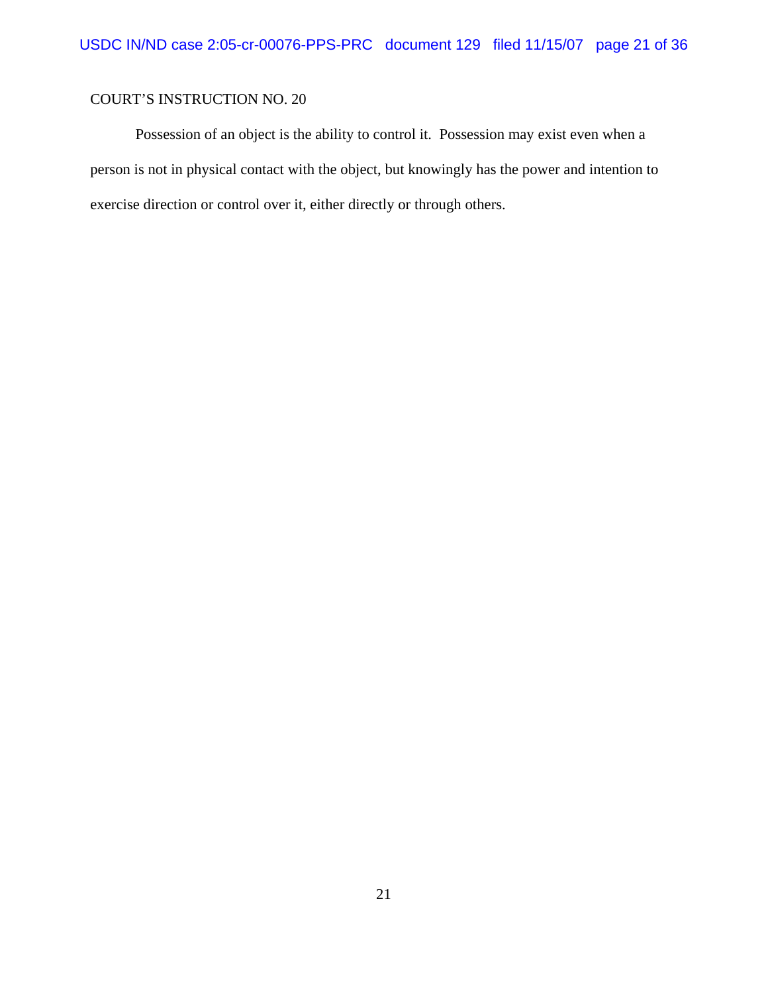Possession of an object is the ability to control it. Possession may exist even when a person is not in physical contact with the object, but knowingly has the power and intention to exercise direction or control over it, either directly or through others.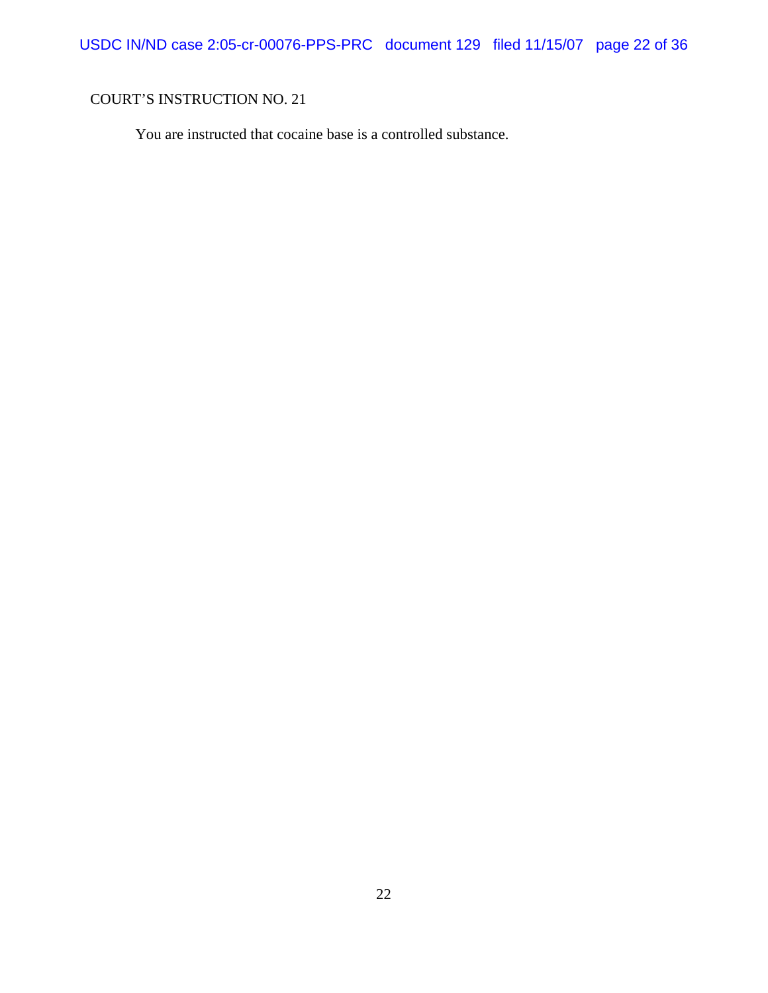You are instructed that cocaine base is a controlled substance.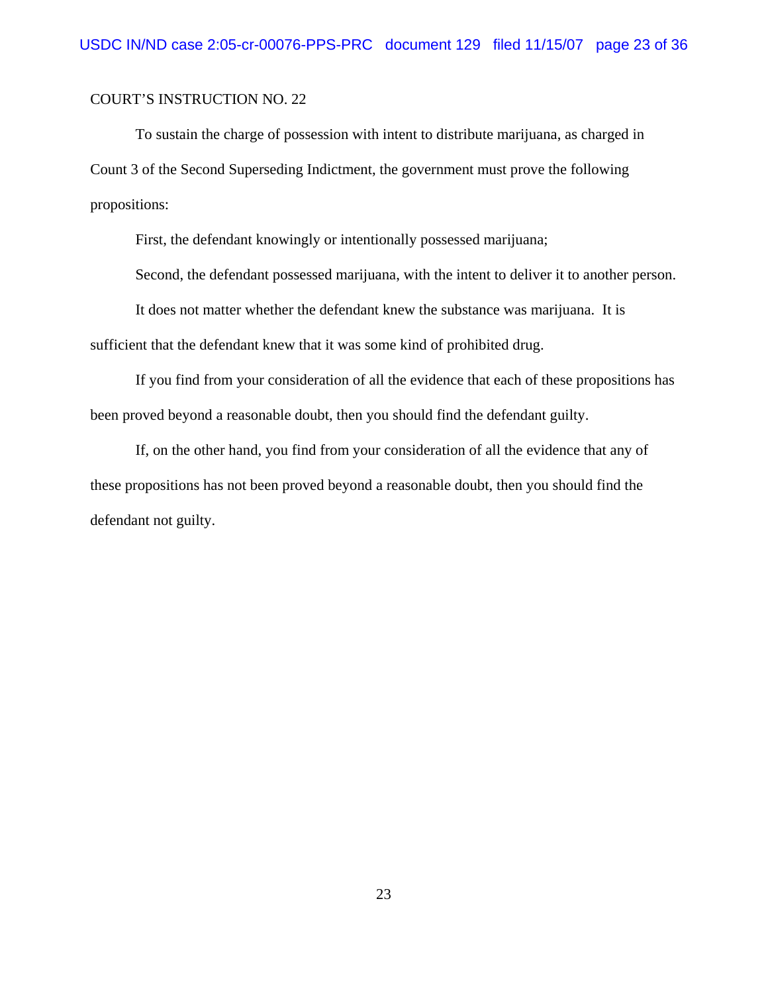To sustain the charge of possession with intent to distribute marijuana, as charged in Count 3 of the Second Superseding Indictment, the government must prove the following propositions:

First, the defendant knowingly or intentionally possessed marijuana;

Second, the defendant possessed marijuana, with the intent to deliver it to another person.

It does not matter whether the defendant knew the substance was marijuana. It is sufficient that the defendant knew that it was some kind of prohibited drug.

If you find from your consideration of all the evidence that each of these propositions has been proved beyond a reasonable doubt, then you should find the defendant guilty.

If, on the other hand, you find from your consideration of all the evidence that any of these propositions has not been proved beyond a reasonable doubt, then you should find the defendant not guilty.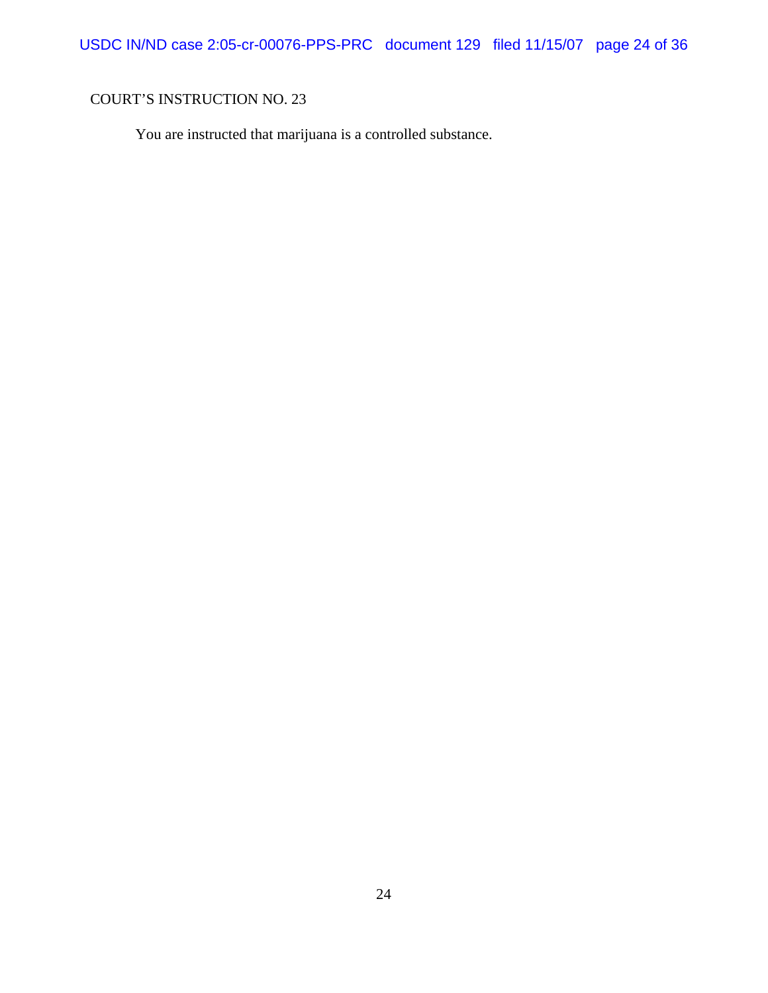You are instructed that marijuana is a controlled substance.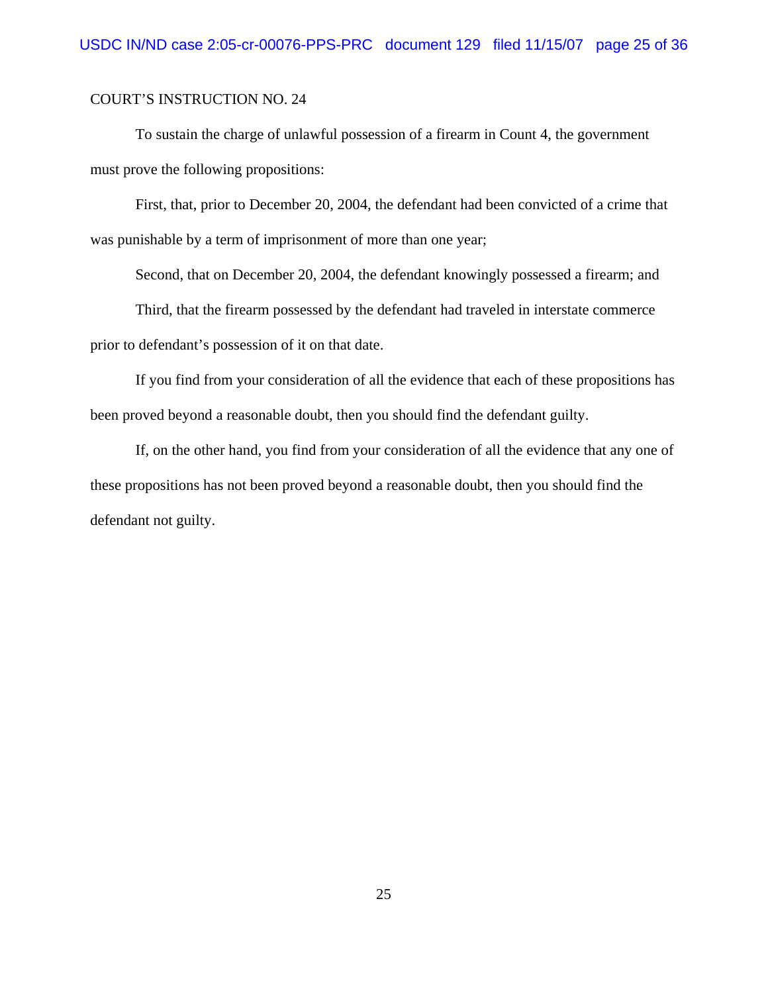To sustain the charge of unlawful possession of a firearm in Count 4, the government must prove the following propositions:

First, that, prior to December 20, 2004, the defendant had been convicted of a crime that was punishable by a term of imprisonment of more than one year;

Second, that on December 20, 2004, the defendant knowingly possessed a firearm; and

Third, that the firearm possessed by the defendant had traveled in interstate commerce prior to defendant's possession of it on that date.

If you find from your consideration of all the evidence that each of these propositions has been proved beyond a reasonable doubt, then you should find the defendant guilty.

If, on the other hand, you find from your consideration of all the evidence that any one of these propositions has not been proved beyond a reasonable doubt, then you should find the defendant not guilty.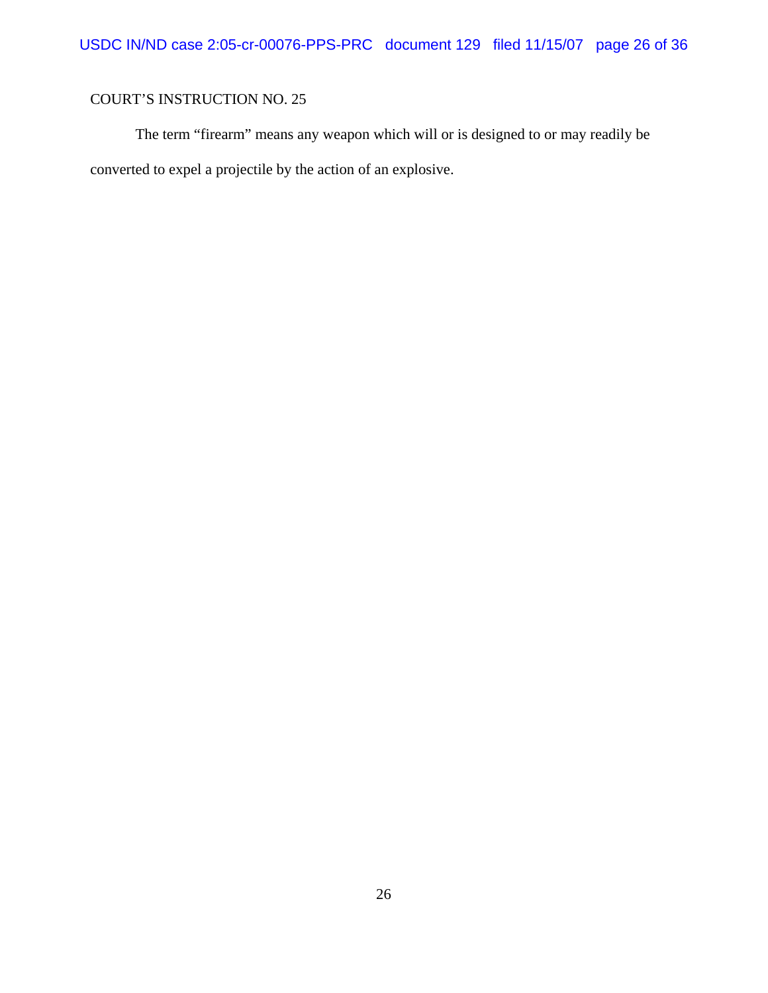The term "firearm" means any weapon which will or is designed to or may readily be converted to expel a projectile by the action of an explosive.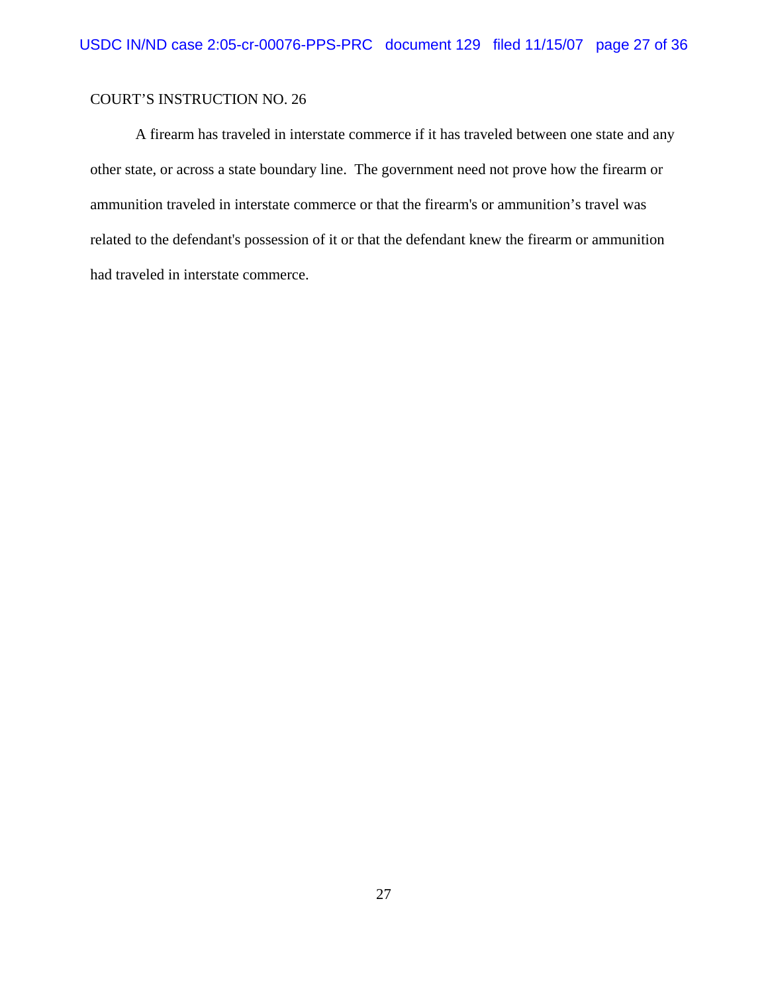A firearm has traveled in interstate commerce if it has traveled between one state and any other state, or across a state boundary line. The government need not prove how the firearm or ammunition traveled in interstate commerce or that the firearm's or ammunition's travel was related to the defendant's possession of it or that the defendant knew the firearm or ammunition had traveled in interstate commerce.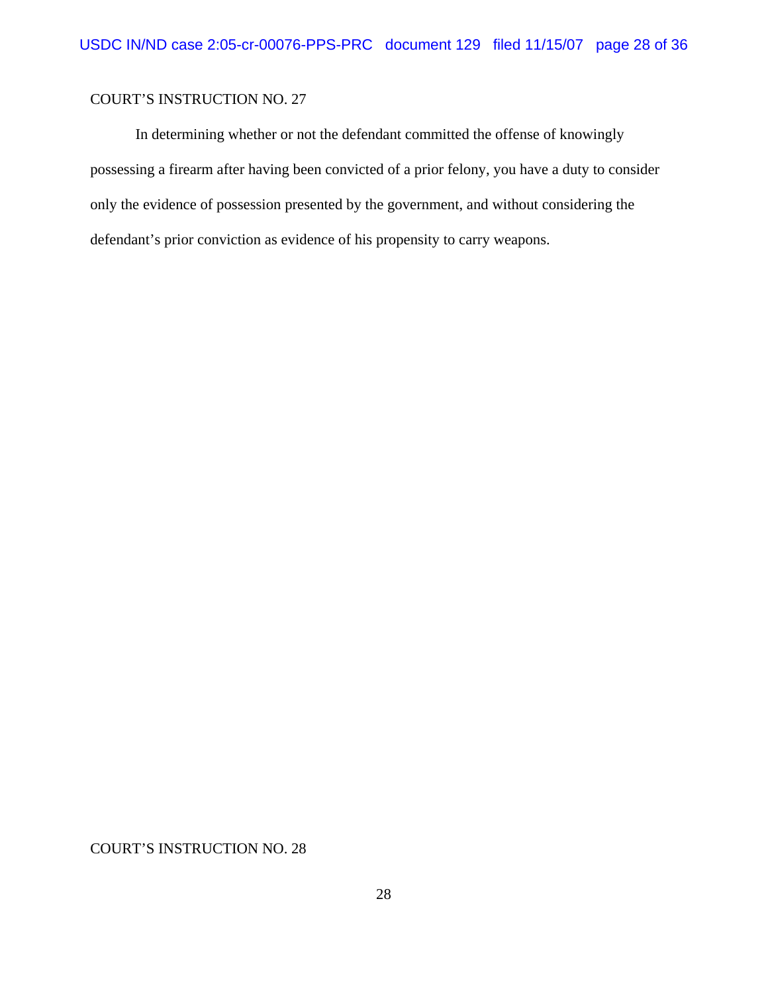In determining whether or not the defendant committed the offense of knowingly possessing a firearm after having been convicted of a prior felony, you have a duty to consider only the evidence of possession presented by the government, and without considering the defendant's prior conviction as evidence of his propensity to carry weapons.

COURT'S INSTRUCTION NO. 28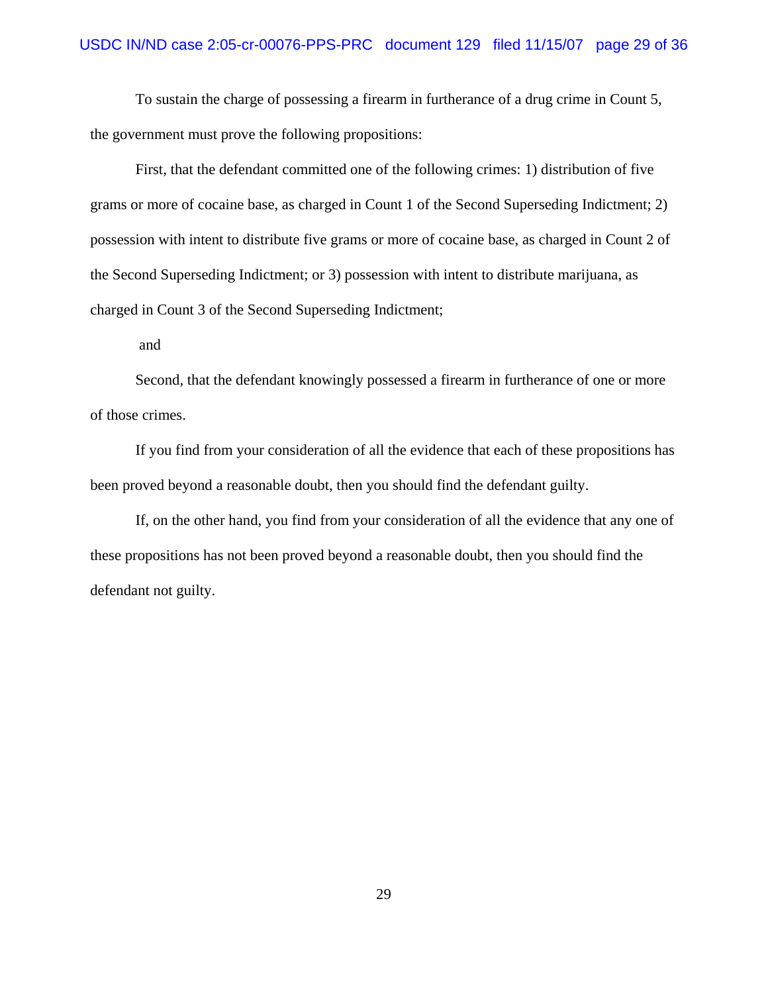To sustain the charge of possessing a firearm in furtherance of a drug crime in Count 5, the government must prove the following propositions:

First, that the defendant committed one of the following crimes: 1) distribution of five grams or more of cocaine base, as charged in Count 1 of the Second Superseding Indictment; 2) possession with intent to distribute five grams or more of cocaine base, as charged in Count 2 of the Second Superseding Indictment; or 3) possession with intent to distribute marijuana, as charged in Count 3 of the Second Superseding Indictment;

and

Second, that the defendant knowingly possessed a firearm in furtherance of one or more of those crimes.

If you find from your consideration of all the evidence that each of these propositions has been proved beyond a reasonable doubt, then you should find the defendant guilty.

If, on the other hand, you find from your consideration of all the evidence that any one of these propositions has not been proved beyond a reasonable doubt, then you should find the defendant not guilty.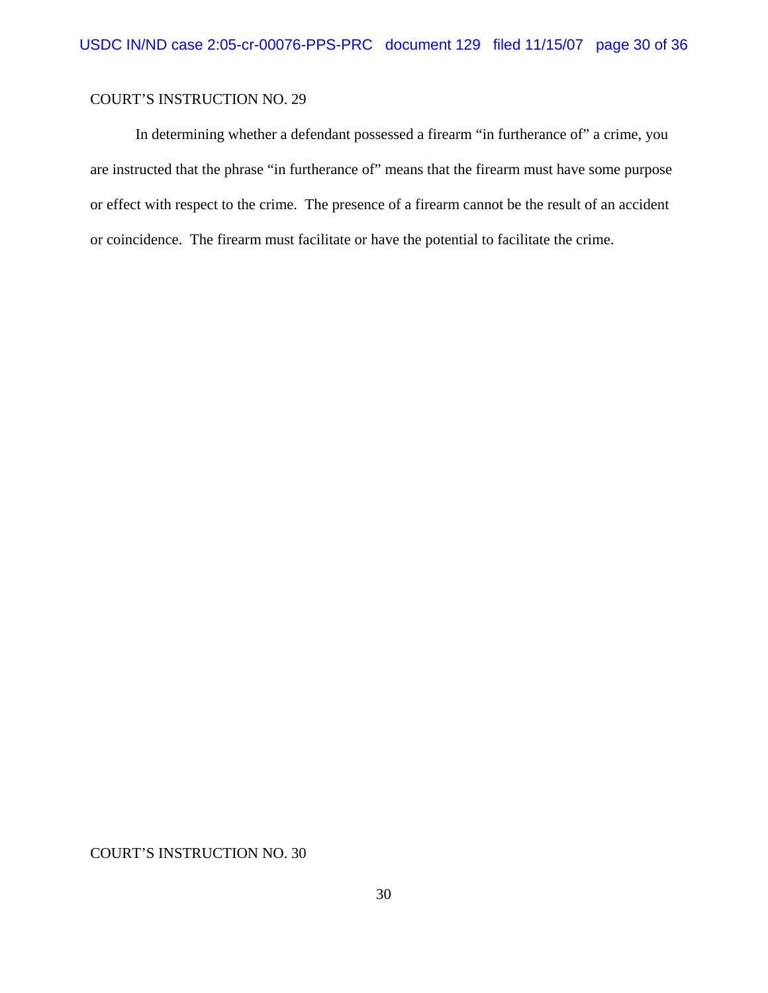In determining whether a defendant possessed a firearm "in furtherance of" a crime, you are instructed that the phrase "in furtherance of" means that the firearm must have some purpose or effect with respect to the crime. The presence of a firearm cannot be the result of an accident or coincidence. The firearm must facilitate or have the potential to facilitate the crime.

COURT'S INSTRUCTION NO. 30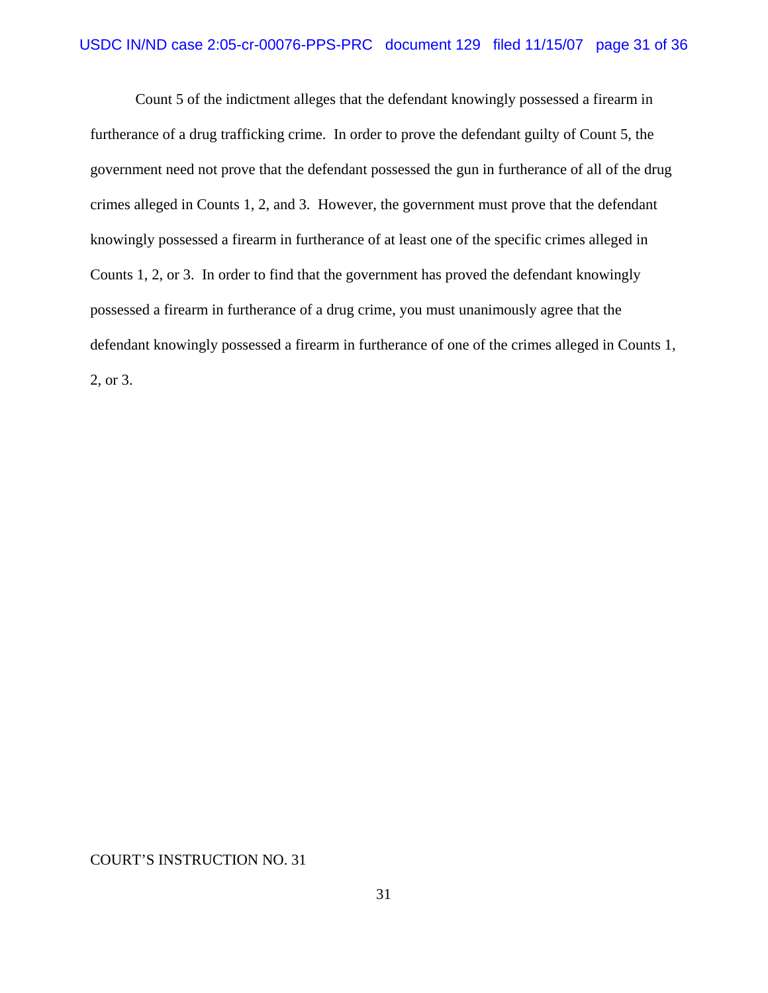Count 5 of the indictment alleges that the defendant knowingly possessed a firearm in furtherance of a drug trafficking crime. In order to prove the defendant guilty of Count 5, the government need not prove that the defendant possessed the gun in furtherance of all of the drug crimes alleged in Counts 1, 2, and 3. However, the government must prove that the defendant knowingly possessed a firearm in furtherance of at least one of the specific crimes alleged in Counts 1, 2, or 3. In order to find that the government has proved the defendant knowingly possessed a firearm in furtherance of a drug crime, you must unanimously agree that the defendant knowingly possessed a firearm in furtherance of one of the crimes alleged in Counts 1, 2, or 3.

COURT'S INSTRUCTION NO. 31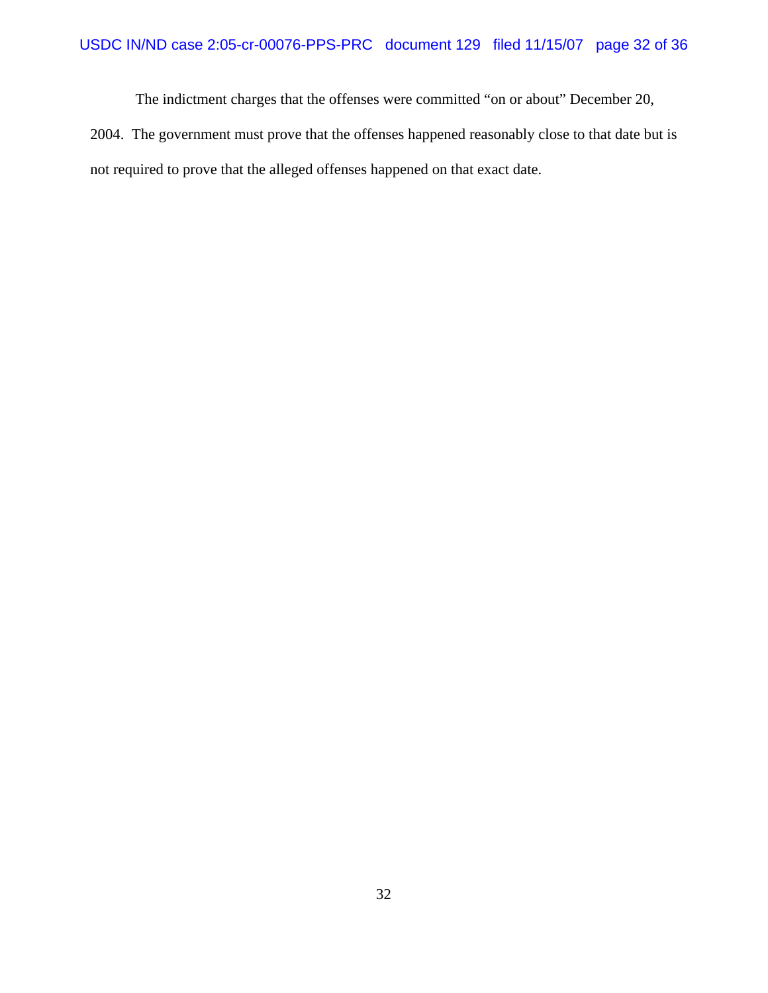The indictment charges that the offenses were committed "on or about" December 20,

2004. The government must prove that the offenses happened reasonably close to that date but is not required to prove that the alleged offenses happened on that exact date.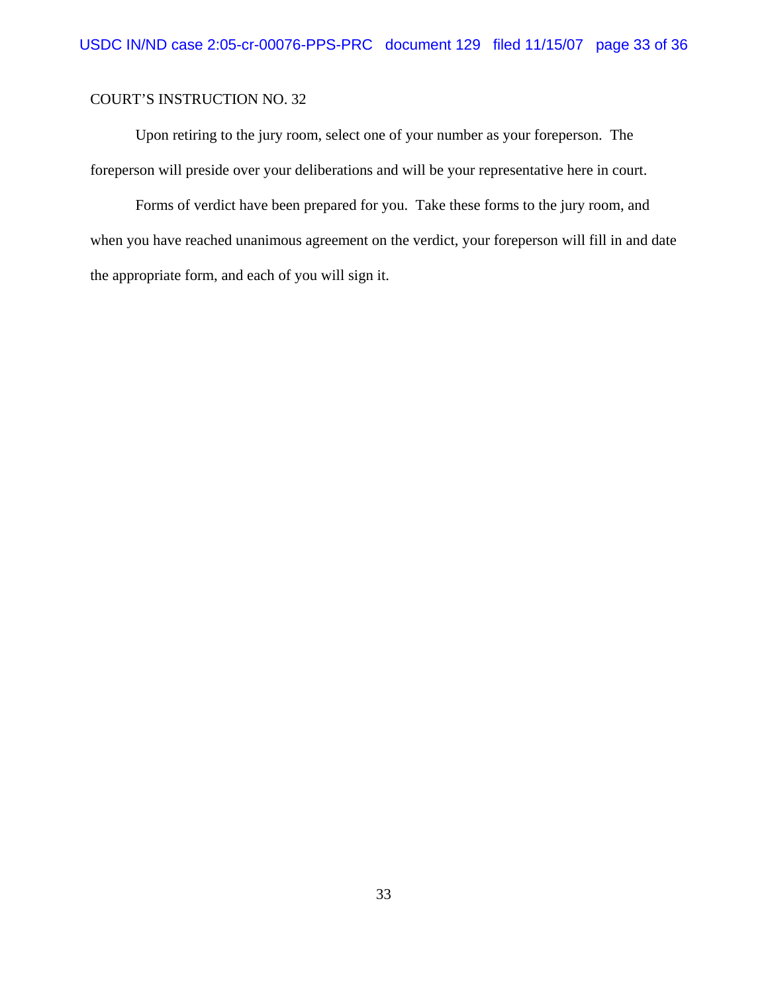Upon retiring to the jury room, select one of your number as your foreperson. The foreperson will preside over your deliberations and will be your representative here in court.

Forms of verdict have been prepared for you. Take these forms to the jury room, and when you have reached unanimous agreement on the verdict, your foreperson will fill in and date the appropriate form, and each of you will sign it.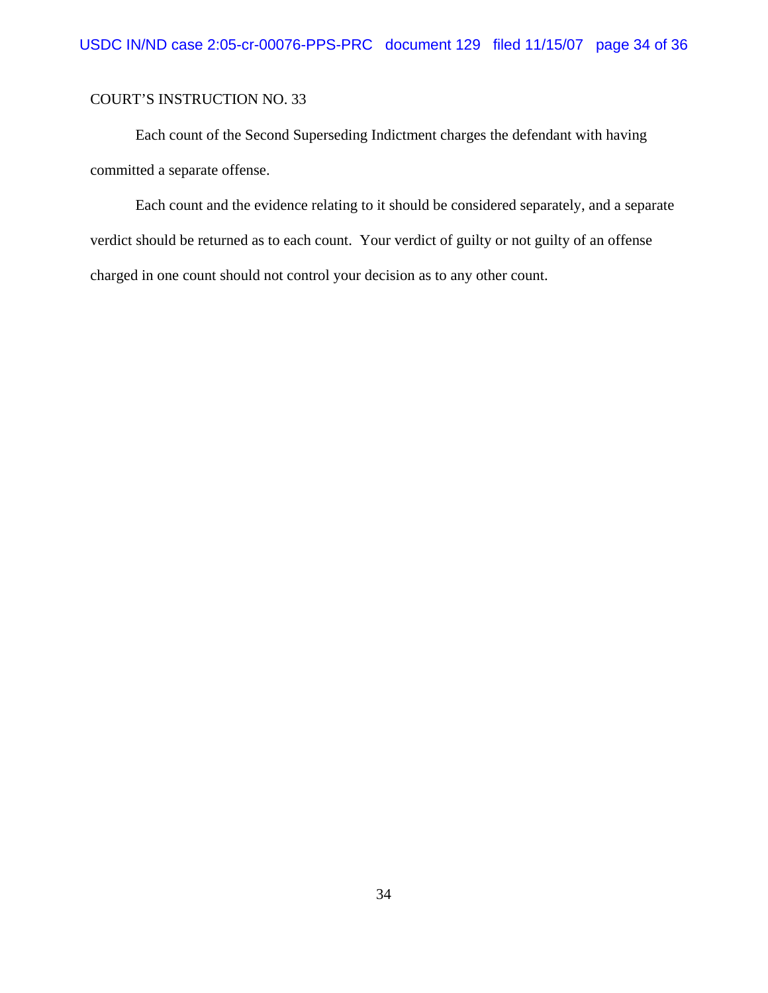Each count of the Second Superseding Indictment charges the defendant with having committed a separate offense.

Each count and the evidence relating to it should be considered separately, and a separate verdict should be returned as to each count. Your verdict of guilty or not guilty of an offense charged in one count should not control your decision as to any other count.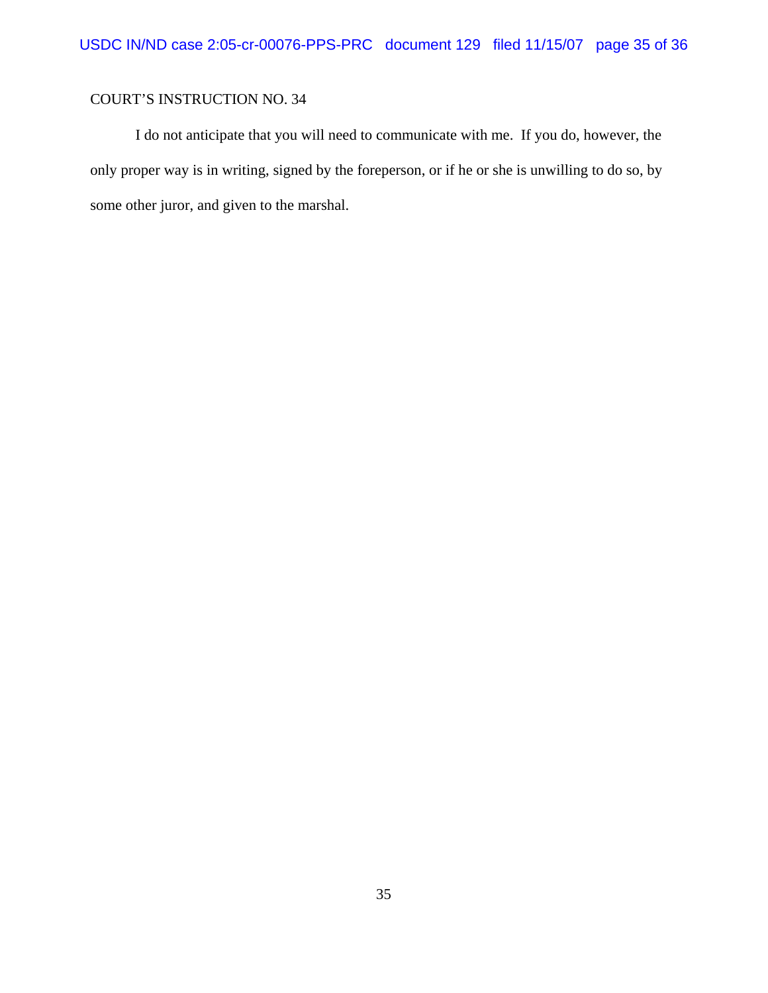I do not anticipate that you will need to communicate with me. If you do, however, the only proper way is in writing, signed by the foreperson, or if he or she is unwilling to do so, by some other juror, and given to the marshal.